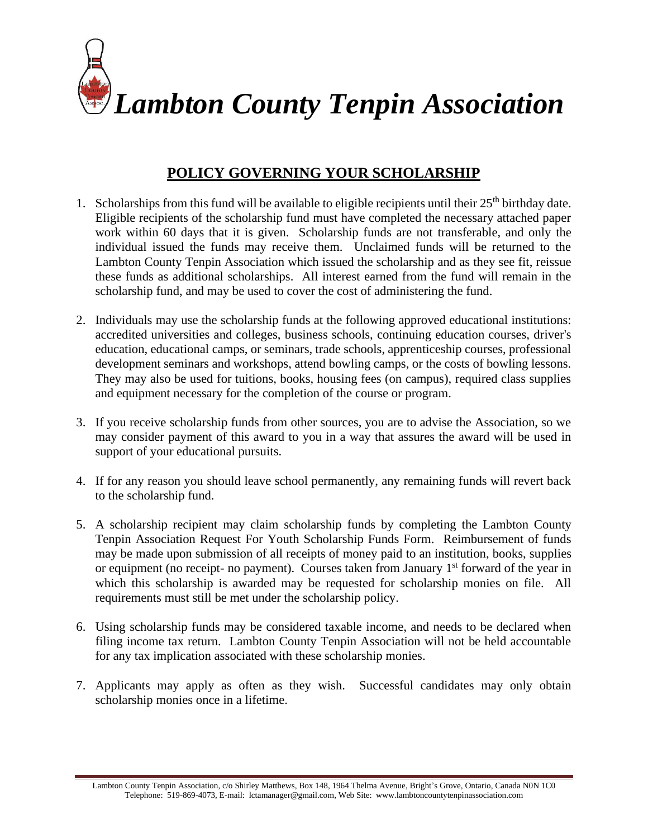

## **POLICY GOVERNING YOUR SCHOLARSHIP**

- 1. Scholarships from this fund will be available to eligible recipients until their  $25<sup>th</sup>$  birthday date. Eligible recipients of the scholarship fund must have completed the necessary attached paper work within 60 days that it is given. Scholarship funds are not transferable, and only the individual issued the funds may receive them. Unclaimed funds will be returned to the Lambton County Tenpin Association which issued the scholarship and as they see fit, reissue these funds as additional scholarships. All interest earned from the fund will remain in the scholarship fund, and may be used to cover the cost of administering the fund.
- 2. Individuals may use the scholarship funds at the following approved educational institutions: accredited universities and colleges, business schools, continuing education courses, driver's education, educational camps, or seminars, trade schools, apprenticeship courses, professional development seminars and workshops, attend bowling camps, or the costs of bowling lessons. They may also be used for tuitions, books, housing fees (on campus), required class supplies and equipment necessary for the completion of the course or program.
- 3. If you receive scholarship funds from other sources, you are to advise the Association, so we may consider payment of this award to you in a way that assures the award will be used in support of your educational pursuits.
- 4. If for any reason you should leave school permanently, any remaining funds will revert back to the scholarship fund.
- 5. A scholarship recipient may claim scholarship funds by completing the Lambton County Tenpin Association Request For Youth Scholarship Funds Form. Reimbursement of funds may be made upon submission of all receipts of money paid to an institution, books, supplies or equipment (no receipt- no payment). Courses taken from January  $1<sup>st</sup>$  forward of the year in which this scholarship is awarded may be requested for scholarship monies on file. All requirements must still be met under the scholarship policy.
- 6. Using scholarship funds may be considered taxable income, and needs to be declared when filing income tax return. Lambton County Tenpin Association will not be held accountable for any tax implication associated with these scholarship monies.
- 7. Applicants may apply as often as they wish. Successful candidates may only obtain scholarship monies once in a lifetime.

Lambton County Tenpin Association, c/o Shirley Matthews, Box 148, 1964 Thelma Avenue, Bright's Grove, Ontario, Canada N0N 1C0 Telephone: 519-869-4073, E-mail: lctamanager@gmail.com, Web Site: www.lambtoncountytenpinassociation.com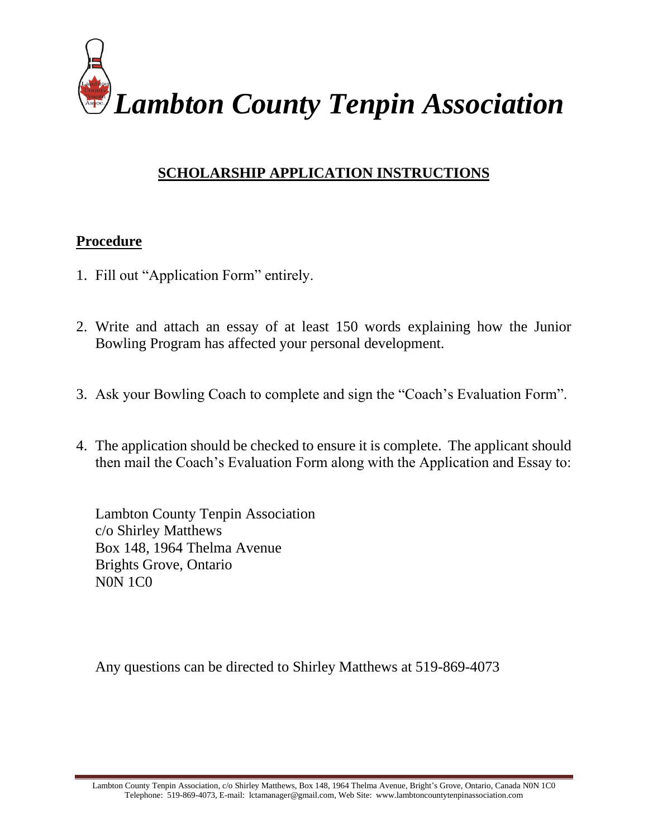

## **SCHOLARSHIP APPLICATION INSTRUCTIONS**

#### **Procedure**

- 1. Fill out "Application Form" entirely.
- 2. Write and attach an essay of at least 150 words explaining how the Junior Bowling Program has affected your personal development.
- 3. Ask your Bowling Coach to complete and sign the "Coach's Evaluation Form".
- 4. The application should be checked to ensure it is complete. The applicant should then mail the Coach's Evaluation Form along with the Application and Essay to:

Lambton County Tenpin Association c/o Shirley Matthews Box 148, 1964 Thelma Avenue Brights Grove, Ontario N0N 1C0

Any questions can be directed to Shirley Matthews at 519-869-4073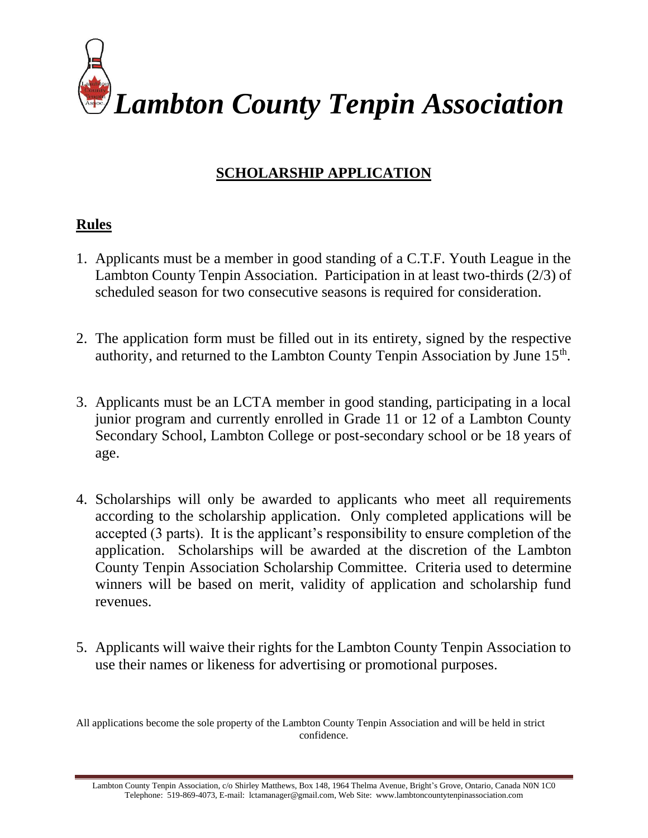

# **SCHOLARSHIP APPLICATION**

### **Rules**

- 1. Applicants must be a member in good standing of a C.T.F. Youth League in the Lambton County Tenpin Association. Participation in at least two-thirds (2/3) of scheduled season for two consecutive seasons is required for consideration.
- 2. The application form must be filled out in its entirety, signed by the respective authority, and returned to the Lambton County Tenpin Association by June  $15<sup>th</sup>$ .
- 3. Applicants must be an LCTA member in good standing, participating in a local junior program and currently enrolled in Grade 11 or 12 of a Lambton County Secondary School, Lambton College or post-secondary school or be 18 years of age.
- 4. Scholarships will only be awarded to applicants who meet all requirements according to the scholarship application. Only completed applications will be accepted (3 parts). It is the applicant's responsibility to ensure completion of the application. Scholarships will be awarded at the discretion of the Lambton County Tenpin Association Scholarship Committee. Criteria used to determine winners will be based on merit, validity of application and scholarship fund revenues.
- 5. Applicants will waive their rights for the Lambton County Tenpin Association to use their names or likeness for advertising or promotional purposes.

All applications become the sole property of the Lambton County Tenpin Association and will be held in strict confidence.

Lambton County Tenpin Association, c/o Shirley Matthews, Box 148, 1964 Thelma Avenue, Bright's Grove, Ontario, Canada N0N 1C0 Telephone: 519-869-4073, E-mail: lctamanager@gmail.com, Web Site: www.lambtoncountytenpinassociation.com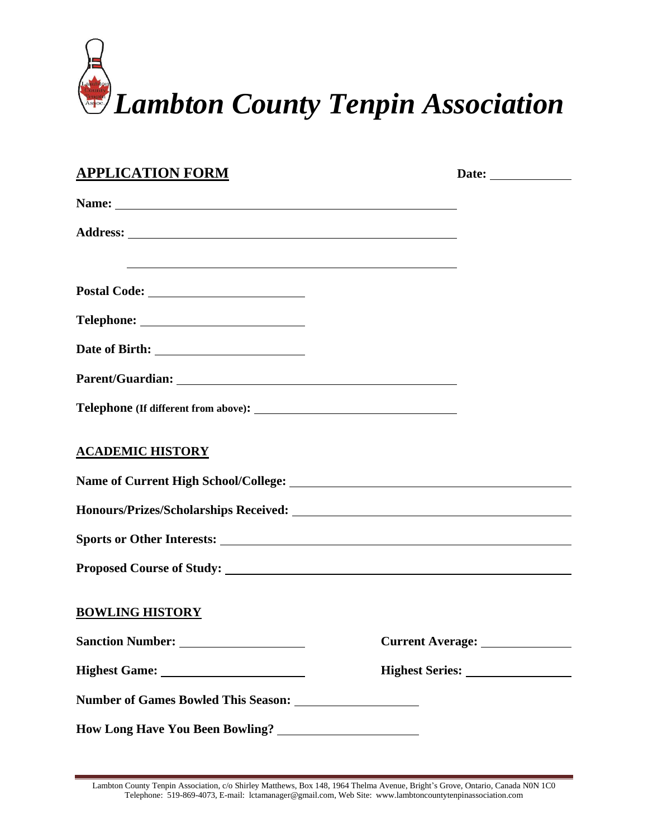

| <b>APPLICATION FORM</b>                                                                                                                                                                                                        |                                  |
|--------------------------------------------------------------------------------------------------------------------------------------------------------------------------------------------------------------------------------|----------------------------------|
| Name: 2008. 2008. 2010. 2010. 2010. 2010. 2010. 2010. 2010. 2010. 2010. 2010. 2010. 2010. 2010. 2010. 2010. 20                                                                                                                 |                                  |
|                                                                                                                                                                                                                                |                                  |
|                                                                                                                                                                                                                                |                                  |
|                                                                                                                                                                                                                                |                                  |
|                                                                                                                                                                                                                                |                                  |
|                                                                                                                                                                                                                                |                                  |
|                                                                                                                                                                                                                                |                                  |
| <b>ACADEMIC HISTORY</b>                                                                                                                                                                                                        |                                  |
|                                                                                                                                                                                                                                |                                  |
| Honours/Prizes/Scholarships Received: Manual According to the Manual According to the Manual According to the Manual According to the Manual According to the Manual According to the Manual According to the Manual According |                                  |
|                                                                                                                                                                                                                                |                                  |
|                                                                                                                                                                                                                                |                                  |
| <b>BOWLING HISTORY</b>                                                                                                                                                                                                         |                                  |
|                                                                                                                                                                                                                                | Current Average: _______________ |
|                                                                                                                                                                                                                                |                                  |
|                                                                                                                                                                                                                                |                                  |
| <b>How Long Have You Been Bowling?</b>                                                                                                                                                                                         |                                  |

Lambton County Tenpin Association, c/o Shirley Matthews, Box 148, 1964 Thelma Avenue, Bright's Grove, Ontario, Canada N0N 1C0 Telephone: 519-869-4073, E-mail: lctamanager@gmail.com, Web Site: www.lambtoncountytenpinassociation.com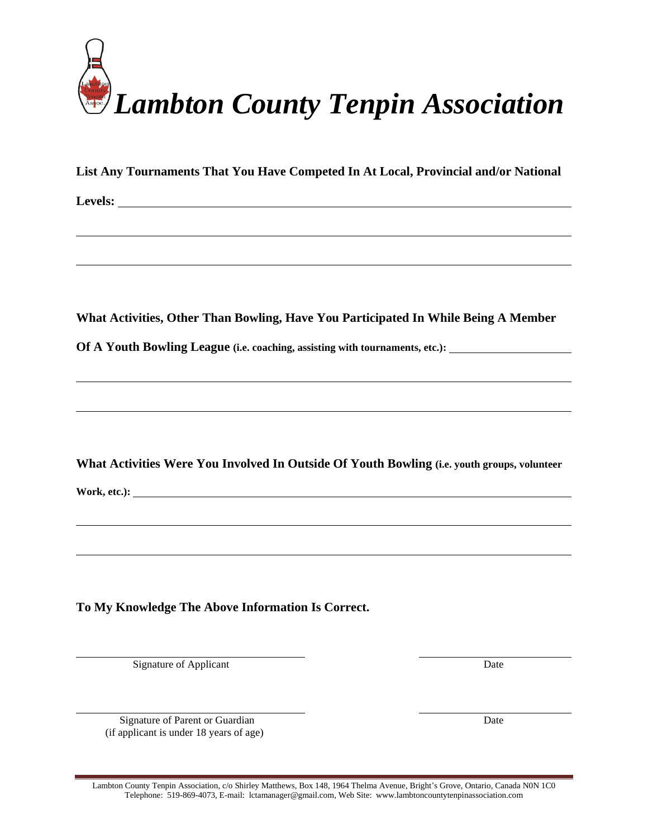

**List Any Tournaments That You Have Competed In At Local, Provincial and/or National** 

**Levels:**

**What Activities, Other Than Bowling, Have You Participated In While Being A Member** 

**Of A Youth Bowling League (i.e. coaching, assisting with tournaments, etc.):**

**What Activities Were You Involved In Outside Of Youth Bowling (i.e. youth groups, volunteer** 

**Work, etc.):** 

**To My Knowledge The Above Information Is Correct.**

Signature of Applicant Date

Signature of Parent or Guardian Date (if applicant is under 18 years of age)